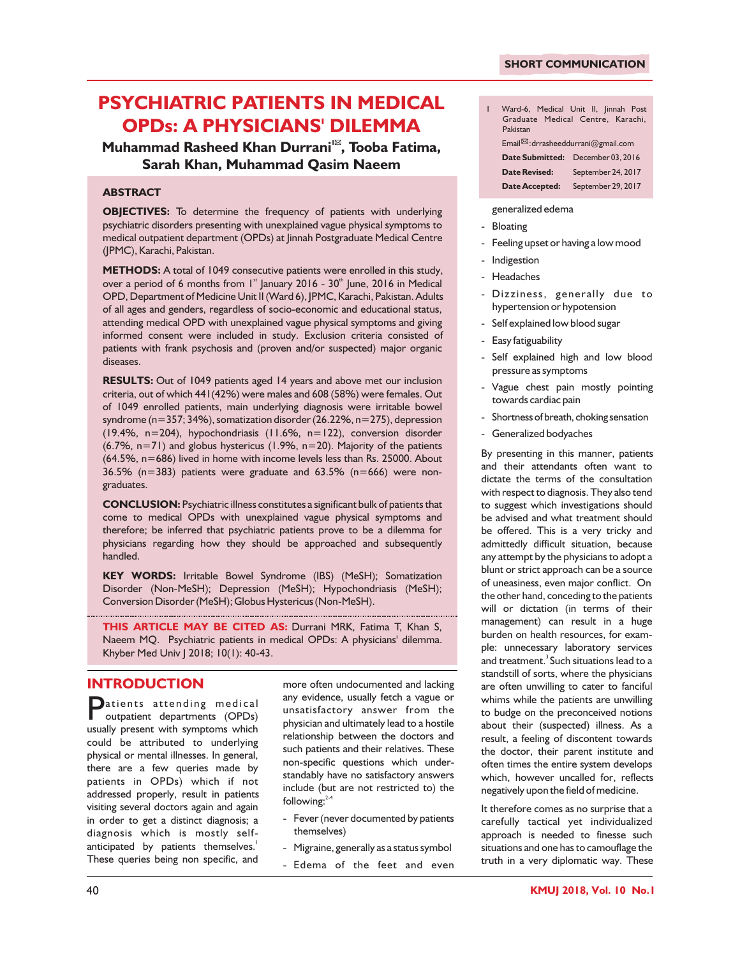# **PSYCHIATRIC PATIENTS IN MEDICAL OPDs: A PHYSICIANS' DILEMMA**

**<sup>1</sup>Muhammad Rasheed Khan Durrani , Tooba Fatima, Sarah Khan, Muhammad Qasim Naeem**

#### **ABSTRACT**

**OBJECTIVES:** To determine the frequency of patients with underlying psychiatric disorders presenting with unexplained vague physical symptoms to medical outpatient department (OPDs) at Jinnah Postgraduate Medical Centre (JPMC), Karachi, Pakistan.

**METHODS:** A total of 1049 consecutive patients were enrolled in this study, over a period of 6 months from  $1<sup>st</sup>$  January 2016 - 30 $<sup>th</sup>$  June, 2016 in Medical</sup> OPD, Department of Medicine Unit II (Ward 6), JPMC, Karachi, Pakistan. Adults of all ages and genders, regardless of socio-economic and educational status, attending medical OPD with unexplained vague physical symptoms and giving informed consent were included in study. Exclusion criteria consisted of patients with frank psychosis and (proven and/or suspected) major organic diseases.

**RESULTS:** Out of 1049 patients aged 14 years and above met our inclusion criteria, out of which 441(42%) were males and 608 (58%) were females. Out of 1049 enrolled patients, main underlying diagnosis were irritable bowel syndrome (n=357; 34%), somatization disorder (26.22%, n=275), depression (19.4%, n=204), hypochondriasis (11.6%, n=122), conversion disorder (6.7%, n=71) and globus hystericus (1.9%, n=20). Majority of the patients (64.5%, n=686) lived in home with income levels less than Rs. 25000. About  $36.5\%$  (n=383) patients were graduate and  $63.5\%$  (n=666) were nongraduates.

**CONCLUSION:** Psychiatric illness constitutes a significant bulk of patients that come to medical OPDs with unexplained vague physical symptoms and therefore; be inferred that psychiatric patients prove to be a dilemma for physicians regarding how they should be approached and subsequently handled.

**KEY WORDS:** Irritable Bowel Syndrome (IBS) (MeSH); Somatization Disorder (Non-MeSH); Depression (MeSH); Hypochondriasis (MeSH); Conversion Disorder (MeSH); Globus Hystericus (Non-MeSH).

**THIS ARTICLE MAY BE CITED AS:** Durrani MRK, Fatima T, Khan S, Naeem MQ. Psychiatric patients in medical OPDs: A physicians' dilemma. Khyber Med Univ J 2018; 10(1): 40-43.

## **INTRODUCTION**

Datients attending medical<br>outpatient departments (OPDs) usually present with symptoms which could be attributed to underlying physical or mental illnesses. In general, there are a few queries made by patients in OPDs) which if not addressed properly, result in patients visiting several doctors again and again in order to get a distinct diagnosis; a diagnosis which is mostly selfanticipated by patients themselves. $^{\mathrm{!}}$ These queries being non specific, and

more often undocumented and lacking any evidence, usually fetch a vague or unsatisfactory answer from the physician and ultimately lead to a hostile relationship between the doctors and such patients and their relatives. These non-specific questions which understandably have no satisfactory answers include (but are not restricted to) the following: $2\pi$ 

- Fever (never documented by patients themselves)
- Migraine, generally as a status symbol
- Edema of the feet and even

| L | Ward-6, Medical Unit II, Jinnah Post<br>Graduate Medical Centre, Karachi,<br>Pakistan |  |  |  |  |
|---|---------------------------------------------------------------------------------------|--|--|--|--|
|   | Email <sup>2</sup> : drrasheeddurrani@gmail.com                                       |  |  |  |  |
|   | Date Submitted: December 03, 2016                                                     |  |  |  |  |

# **Date Revised:** September 24, 2017 **Date Accepted:** September 29, 2017

generalized edema

- Bloating
- Feeling upset or having a low mood
- Indigestion
- Headaches
- Dizziness, generally due to hypertension or hypotension
- Self explained low blood sugar
- Easy fatiguability
- Self explained high and low blood pressure as symptoms
- Vague chest pain mostly pointing towards cardiac pain
- Shortness of breath, choking sensation
- Generalized bodyaches

By presenting in this manner, patients and their attendants often want to dictate the terms of the consultation with respect to diagnosis. They also tend to suggest which investigations should be advised and what treatment should be offered. This is a very tricky and admittedly difficult situation, because any attempt by the physicians to adopt a blunt or strict approach can be a source of uneasiness, even major conflict. On the other hand, conceding to the patients will or dictation (in terms of their management) can result in a huge burden on health resources, for example: unnecessary laboratory services and treatment.<sup>3</sup> Such situations lead to a standstill of sorts, where the physicians are often unwilling to cater to fanciful whims while the patients are unwilling to budge on the preconceived notions about their (suspected) illness. As a result, a feeling of discontent towards the doctor, their parent institute and often times the entire system develops which, however uncalled for, reflects negatively upon the field of medicine.

It therefore comes as no surprise that a carefully tactical yet individualized approach is needed to finesse such situations and one has to camouflage the truth in a very diplomatic way. These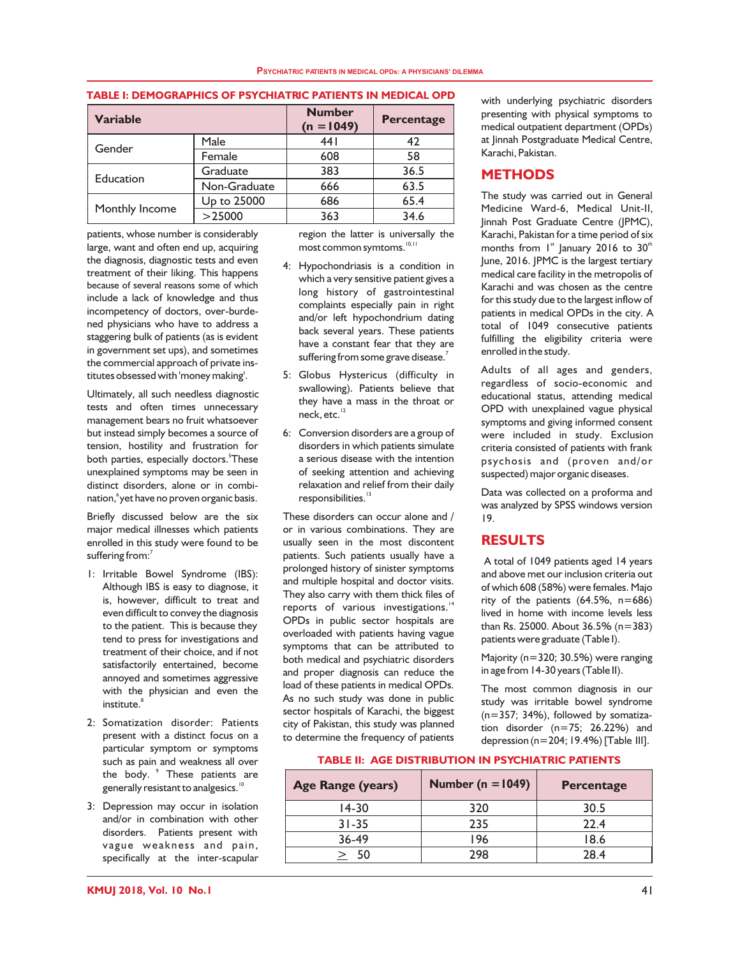#### **PSYCHIATRIC PATIENTS IN MEDICAL OPDs: A PHYSICIANS' DILEMMA**

#### **TABLE I: DEMOGRAPHICS OF PSYCHIATRIC PATIENTS IN MEDICAL OPD**

| <b>Variable</b> |              | <b>Number</b><br>$(n = 1049)$ | <b>Percentage</b> |  |
|-----------------|--------------|-------------------------------|-------------------|--|
| Gender          | Male         | 441                           | 42                |  |
|                 | Female       | 608                           | 58                |  |
| Education       | Graduate     | 383                           | 36.5              |  |
|                 | Non-Graduate | 666                           | 63.5              |  |
|                 | Up to 25000  | 686                           | 65.4              |  |
| Monthly Income  | >25000       | 363                           | 34.6              |  |

patients, whose number is considerably large, want and often end up, acquiring the diagnosis, diagnostic tests and even treatment of their liking. This happens because of several reasons some of which include a lack of knowledge and thus incompetency of doctors, over-burdened physicians who have to address a staggering bulk of patients (as is evident in government set ups), and sometimes the commercial approach of private institutes obsessed with 'money making'.

Ultimately, all such needless diagnostic tests and often times unnecessary management bears no fruit whatsoever but instead simply becomes a source of tension, hostility and frustration for both parties, especially doctors.<sup>5</sup>These unexplained symptoms may be seen in distinct disorders, alone or in combination, 'yet have no proven organic basis.

Briefly discussed below are the six major medical illnesses which patients enrolled in this study were found to be suffering from: $^7$ 

- 1: Irritable Bowel Syndrome (IBS): Although IBS is easy to diagnose, it is, however, difficult to treat and even difficult to convey the diagnosis to the patient. This is because they tend to press for investigations and treatment of their choice, and if not satisfactorily entertained, become annoyed and sometimes aggressive with the physician and even the 8 institute.
- 2: Somatization disorder: Patients present with a distinct focus on a particular symptom or symptoms such as pain and weakness all over the body. <sup>9</sup> These patients are generally resistant to analgesics.<sup>10</sup>
- 3: Depression may occur in isolation and/or in combination with other disorders. Patients present with vague weakness and pain, specifically at the inter-scapular

region the latter is universally the  $most common$  symtoms. $^{10,11}$ 

- 4: Hypochondriasis is a condition in which a very sensitive patient gives a long history of gastrointestinal complaints especially pain in right and/or left hypochondrium dating back several years. These patients have a constant fear that they are suffering from some grave disease. $^7$
- 5: Globus Hystericus (difficulty in swallowing). Patients believe that they have a mass in the throat or neck, etc.<sup>12</sup>
- 6: Conversion disorders are a group of disorders in which patients simulate a serious disease with the intention of seeking attention and achieving relaxation and relief from their daily responsibilities.<sup>13</sup>

These disorders can occur alone and / or in various combinations. They are usually seen in the most discontent patients. Such patients usually have a prolonged history of sinister symptoms and multiple hospital and doctor visits. They also carry with them thick files of reports of various investigations.<sup>14</sup> OPDs in public sector hospitals are overloaded with patients having vague symptoms that can be attributed to both medical and psychiatric disorders and proper diagnosis can reduce the load of these patients in medical OPDs. As no such study was done in public sector hospitals of Karachi, the biggest city of Pakistan, this study was planned to determine the frequency of patients with underlying psychiatric disorders presenting with physical symptoms to medical outpatient department (OPDs) at Jinnah Postgraduate Medical Centre, Karachi, Pakistan.

#### **METHODS**

The study was carried out in General Medicine Ward-6, Medical Unit-II, Jinnah Post Graduate Centre (JPMC), Karachi, Pakistan for a time period of six months from  $1<sup>st</sup>$  January 2016 to 30<sup>th</sup> June, 2016. JPMC is the largest tertiary medical care facility in the metropolis of Karachi and was chosen as the centre for this study due to the largest inflow of patients in medical OPDs in the city. A total of 1049 consecutive patients fulfilling the eligibility criteria were enrolled in the study.

Adults of all ages and genders, regardless of socio-economic and educational status, attending medical OPD with unexplained vague physical symptoms and giving informed consent were included in study. Exclusion criteria consisted of patients with frank psychosis and (proven and/or suspected) major organic diseases.

Data was collected on a proforma and was analyzed by SPSS windows version 19.

## **RESULTS**

 A total of 1049 patients aged 14 years and above met our inclusion criteria out of which 608 (58%) were females. Majo rity of the patients  $(64.5\% , n=686)$ lived in home with income levels less than Rs. 25000. About 36.5% (n=383) patients were graduate (Table I).

Majority (n=320; 30.5%) were ranging in age from 14-30 years (Table II).

The most common diagnosis in our study was irritable bowel syndrome (n=357; 34%), followed by somatization disorder (n=75; 26.22%) and depression (n=204; 19.4%) [Table III].

#### **TABLE II: AGE DISTRIBUTION IN PSYCHIATRIC PATIENTS**

| <b>Age Range (years)</b> | Number ( $n = 1049$ ) | <b>Percentage</b> |
|--------------------------|-----------------------|-------------------|
| 14-30                    | 320                   | 30.5              |
| $31 - 35$                | 235                   | 22.4              |
| $36-49$                  | 196                   | 18.6              |
| 50                       | 298                   | 28.4              |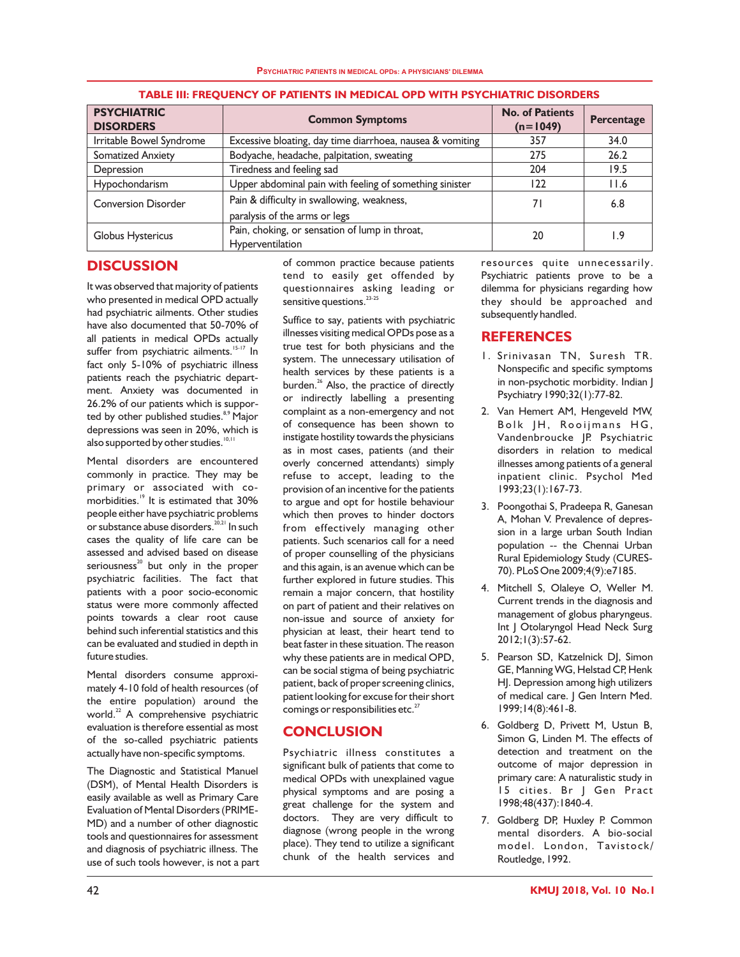| <b>PSYCHIATRIC</b><br><b>DISORDERS</b> | <b>Common Symptoms</b>                                                      | <b>No. of Patients</b><br>$(n=1049)$ | Percentage |
|----------------------------------------|-----------------------------------------------------------------------------|--------------------------------------|------------|
| Irritable Bowel Syndrome               | Excessive bloating, day time diarrhoea, nausea & vomiting                   | 357                                  | 34.0       |
| <b>Somatized Anxiety</b>               | Bodyache, headache, palpitation, sweating                                   | 275                                  | 26.2       |
| Depression                             | Tiredness and feeling sad                                                   | 204                                  | 19.5       |
| Hypochondarism                         | Upper abdominal pain with feeling of something sinister                     | 122                                  | 11.6       |
| <b>Conversion Disorder</b>             | Pain & difficulty in swallowing, weakness,<br>paralysis of the arms or legs | 71                                   | 6.8        |
| Globus Hystericus                      | Pain, choking, or sensation of lump in throat,<br>Hyperventilation          | 20                                   | و. ا       |

#### **TABLE III: FREQUENCY OF PATIENTS IN MEDICAL OPD WITH PSYCHIATRIC DISORDERS**

# **DISCUSSION**

It was observed that majority of patients who presented in medical OPD actually had psychiatric ailments. Other studies have also documented that 50-70% of all patients in medical OPDs actually suffer from psychiatric ailments.<sup>15-17</sup> In fact only 5-10% of psychiatric illness patients reach the psychiatric department. Anxiety was documented in 26.2% of our patients which is supported by other published studies.<sup>8,9</sup> Major depressions was seen in 20%, which is also supported by other studies.<sup>10,11</sup>

Mental disorders are encountered commonly in practice. They may be primary or associated with comorbidities.<sup>19</sup> It is estimated that 30% people either have psychiatric problems or substance abuse disorders.  $2^{0,21}$  In such cases the quality of life care can be assessed and advised based on disease seriousness $^{20}$  but only in the proper psychiatric facilities. The fact that patients with a poor socio-economic status were more commonly affected points towards a clear root cause behind such inferential statistics and this can be evaluated and studied in depth in future studies.

Mental disorders consume approximately 4-10 fold of health resources (of the entire population) around the world. $22$  A comprehensive psychiatric evaluation is therefore essential as most of the so-called psychiatric patients actually have non-specific symptoms.

The Diagnostic and Statistical Manuel (DSM), of Mental Health Disorders is easily available as well as Primary Care Evaluation of Mental Disorders (PRIME-MD) and a number of other diagnostic tools and questionnaires for assessment and diagnosis of psychiatric illness. The use of such tools however, is not a part of common practice because patients tend to easily get offended by questionnaires asking leading or sensitive questions.<sup>23-25</sup>

Suffice to say, patients with psychiatric illnesses visiting medical OPDs pose as a true test for both physicians and the system. The unnecessary utilisation of health services by these patients is a burden.<sup>26</sup> Also, the practice of directly or indirectly labelling a presenting complaint as a non-emergency and not of consequence has been shown to instigate hostility towards the physicians as in most cases, patients (and their overly concerned attendants) simply refuse to accept, leading to the provision of an incentive for the patients to argue and opt for hostile behaviour which then proves to hinder doctors from effectively managing other patients. Such scenarios call for a need of proper counselling of the physicians and this again, is an avenue which can be further explored in future studies. This remain a major concern, that hostility on part of patient and their relatives on non-issue and source of anxiety for physician at least, their heart tend to beat faster in these situation. The reason why these patients are in medical OPD, can be social stigma of being psychiatric patient, back of proper screening clinics, patient looking for excuse for their short comings or responsibilities etc.<sup>27</sup>

## **CONCLUSION**

Psychiatric illness constitutes a significant bulk of patients that come to medical OPDs with unexplained vague physical symptoms and are posing a great challenge for the system and doctors. They are very difficult to diagnose (wrong people in the wrong place). They tend to utilize a significant chunk of the health services and resources quite unnecessarily. Psychiatric patients prove to be a dilemma for physicians regarding how they should be approached and subsequently handled.

## **REFERENCES**

- 1. Srinivasan TN, Suresh TR. Nonspecific and specific symptoms in non-psychotic morbidity. Indian J Psychiatry 1990;32(1):77-82.
- 2. Van Hemert AM, Hengeveld MW, Bolk JH, Rooijmans HG, Vandenbroucke JP. Psychiatric disorders in relation to medical illnesses among patients of a general inpatient clinic. Psychol Med 1993;23(1):167-73.
- 3. Poongothai S, Pradeepa R, Ganesan A, Mohan V. Prevalence of depression in a large urban South Indian population -- the Chennai Urban Rural Epidemiology Study (CURES-70). PLoS One 2009;4(9):e7185.
- 4. Mitchell S, Olaleye O, Weller M. Current trends in the diagnosis and management of globus pharyngeus. Int | Otolaryngol Head Neck Surg 2012;1(3):57-62.
- 5. Pearson SD, Katzelnick DJ, Simon GE, Manning WG, Helstad CP, Henk HJ. Depression among high utilizers of medical care. J Gen Intern Med. 1999;14(8):461-8.
- 6. Goldberg D, Privett M, Ustun B, Simon G, Linden M. The effects of detection and treatment on the outcome of major depression in primary care: A naturalistic study in 15 cities. Br J Gen Pract 1998;48(437):1840-4.
- 7. Goldberg DP, Huxley P. Common mental disorders. A bio-social model. London, Tavistock/ Routledge, 1992.